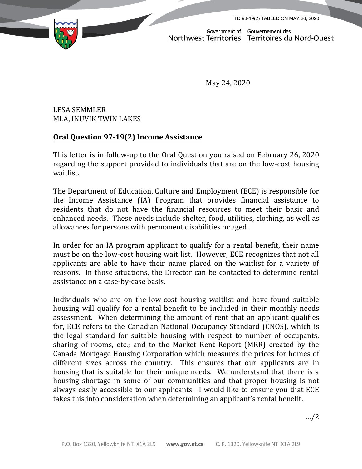TD 93-19(2) TABLED ON MAY 26, 2020



Government of Gouvernement des<br>Northwest Territories Territoires du Nord-Ouest

May 24, 2020

LESA SEMMLER MLA, INUVIK TWIN LAKES

## **Oral Question 97-19(2) Income Assistance**

This letter is in follow-up to the Oral Question you raised on February 26, 2020 regarding the support provided to individuals that are on the low-cost housing waitlist.

The Department of Education, Culture and Employment (ECE) is responsible for the Income Assistance (IA) Program that provides financial assistance to residents that do not have the financial resources to meet their basic and enhanced needs. These needs include shelter, food, utilities, clothing, as well as allowances for persons with permanent disabilities or aged.

In order for an IA program applicant to qualify for a rental benefit, their name must be on the low-cost housing wait list. However, ECE recognizes that not all applicants are able to have their name placed on the waitlist for a variety of reasons. In those situations, the Director can be contacted to determine rental assistance on a case-by-case basis.

Individuals who are on the low-cost housing waitlist and have found suitable housing will qualify for a rental benefit to be included in their monthly needs assessment. When determining the amount of rent that an applicant qualifies for, ECE refers to the Canadian National Occupancy Standard (CNOS), which is the legal standard for suitable housing with respect to number of occupants, sharing of rooms, etc.; and to the Market Rent Report (MRR) created by the Canada Mortgage Housing Corporation which measures the prices for homes of different sizes across the country. This ensures that our applicants are in housing that is suitable for their unique needs. We understand that there is a housing shortage in some of our communities and that proper housing is not always easily accessible to our applicants. I would like to ensure you that ECE takes this into consideration when determining an applicant's rental benefit.

…/2